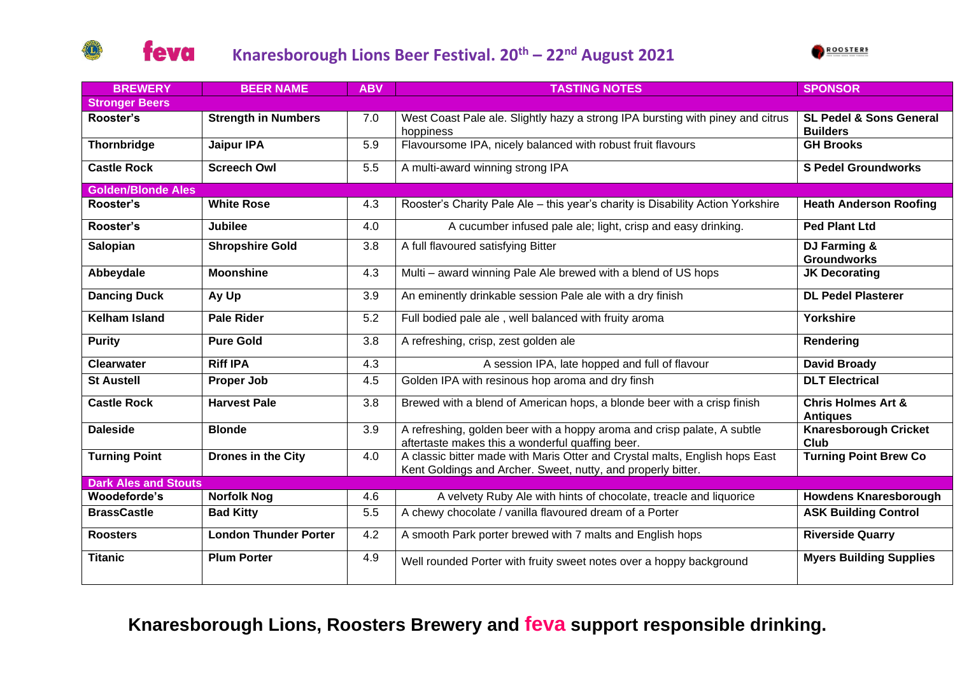



| <b>BREWERY</b>              | <b>BEER NAME</b>             | <b>ABV</b> | <b>TASTING NOTES</b>                                                                                                                        | <b>SPONSOR</b>                                        |  |  |  |
|-----------------------------|------------------------------|------------|---------------------------------------------------------------------------------------------------------------------------------------------|-------------------------------------------------------|--|--|--|
| <b>Stronger Beers</b>       |                              |            |                                                                                                                                             |                                                       |  |  |  |
| Rooster's                   | <b>Strength in Numbers</b>   | 7.0        | West Coast Pale ale. Slightly hazy a strong IPA bursting with piney and citrus<br>hoppiness                                                 | <b>SL Pedel &amp; Sons General</b><br><b>Builders</b> |  |  |  |
| Thornbridge                 | <b>Jaipur IPA</b>            | 5.9        | Flavoursome IPA, nicely balanced with robust fruit flavours                                                                                 | <b>GH Brooks</b>                                      |  |  |  |
| <b>Castle Rock</b>          | <b>Screech Owl</b>           | 5.5        | A multi-award winning strong IPA                                                                                                            | <b>S Pedel Groundworks</b>                            |  |  |  |
| <b>Golden/Blonde Ales</b>   |                              |            |                                                                                                                                             |                                                       |  |  |  |
| Rooster's                   | <b>White Rose</b>            | 4.3        | Rooster's Charity Pale Ale - this year's charity is Disability Action Yorkshire                                                             | <b>Heath Anderson Roofing</b>                         |  |  |  |
| Rooster's                   | <b>Jubilee</b>               | 4.0        | A cucumber infused pale ale; light, crisp and easy drinking.                                                                                | Ped Plant Ltd                                         |  |  |  |
| Salopian                    | <b>Shropshire Gold</b>       | 3.8        | A full flavoured satisfying Bitter                                                                                                          | DJ Farming &<br><b>Groundworks</b>                    |  |  |  |
| Abbeydale                   | <b>Moonshine</b>             | 4.3        | Multi - award winning Pale Ale brewed with a blend of US hops                                                                               | <b>JK Decorating</b>                                  |  |  |  |
| <b>Dancing Duck</b>         | Ay Up                        | 3.9        | An eminently drinkable session Pale ale with a dry finish                                                                                   | <b>DL Pedel Plasterer</b>                             |  |  |  |
| <b>Kelham Island</b>        | <b>Pale Rider</b>            | 5.2        | Full bodied pale ale, well balanced with fruity aroma                                                                                       | Yorkshire                                             |  |  |  |
| <b>Purity</b>               | <b>Pure Gold</b>             | 3.8        | A refreshing, crisp, zest golden ale                                                                                                        | Rendering                                             |  |  |  |
| <b>Clearwater</b>           | <b>Riff IPA</b>              | 4.3        | A session IPA, late hopped and full of flavour                                                                                              | <b>David Broady</b>                                   |  |  |  |
| <b>St Austell</b>           | <b>Proper Job</b>            | 4.5        | Golden IPA with resinous hop aroma and dry finsh                                                                                            | <b>DLT Electrical</b>                                 |  |  |  |
| <b>Castle Rock</b>          | <b>Harvest Pale</b>          | 3.8        | Brewed with a blend of American hops, a blonde beer with a crisp finish                                                                     | <b>Chris Holmes Art &amp;</b><br><b>Antiques</b>      |  |  |  |
| <b>Daleside</b>             | <b>Blonde</b>                | 3.9        | A refreshing, golden beer with a hoppy aroma and crisp palate, A subtle<br>aftertaste makes this a wonderful quaffing beer.                 | <b>Knaresborough Cricket</b><br><b>Club</b>           |  |  |  |
| <b>Turning Point</b>        | Drones in the City           | 4.0        | A classic bitter made with Maris Otter and Crystal malts, English hops East<br>Kent Goldings and Archer. Sweet, nutty, and properly bitter. | <b>Turning Point Brew Co</b>                          |  |  |  |
| <b>Dark Ales and Stouts</b> |                              |            |                                                                                                                                             |                                                       |  |  |  |
| Woodeforde's                | <b>Norfolk Nog</b>           | 4.6        | A velvety Ruby Ale with hints of chocolate, treacle and liquorice                                                                           | <b>Howdens Knaresborough</b>                          |  |  |  |
| <b>BrassCastle</b>          | <b>Bad Kitty</b>             | 5.5        | A chewy chocolate / vanilla flavoured dream of a Porter                                                                                     | <b>ASK Building Control</b>                           |  |  |  |
| <b>Roosters</b>             | <b>London Thunder Porter</b> | 4.2        | A smooth Park porter brewed with 7 malts and English hops                                                                                   | <b>Riverside Quarry</b>                               |  |  |  |
| <b>Titanic</b>              | <b>Plum Porter</b>           | 4.9        | Well rounded Porter with fruity sweet notes over a hoppy background                                                                         | <b>Myers Building Supplies</b>                        |  |  |  |

## **Knaresborough Lions, Roosters Brewery and feva support responsible drinking.**